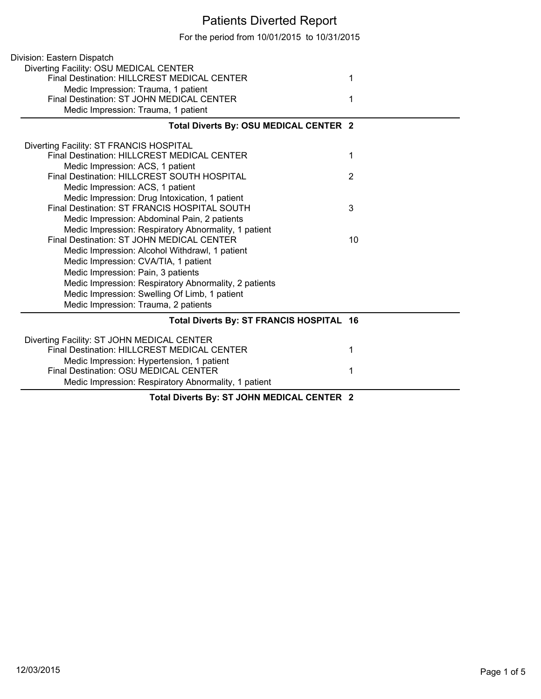## Patients Diverted Report

For the period from 10/01/2015 to 10/31/2015

| Division: Eastern Dispatch                            |                |
|-------------------------------------------------------|----------------|
| Diverting Facility: OSU MEDICAL CENTER                |                |
| Final Destination: HILLCREST MEDICAL CENTER           | 1              |
| Medic Impression: Trauma, 1 patient                   |                |
| Final Destination: ST JOHN MEDICAL CENTER             | 1              |
| Medic Impression: Trauma, 1 patient                   |                |
| Total Diverts By: OSU MEDICAL CENTER 2                |                |
| Diverting Facility: ST FRANCIS HOSPITAL               |                |
| <b>Final Destination: HILLCREST MEDICAL CENTER</b>    | 1              |
| Medic Impression: ACS, 1 patient                      |                |
| Final Destination: HILLCREST SOUTH HOSPITAL           | $\overline{2}$ |
| Medic Impression: ACS, 1 patient                      |                |
| Medic Impression: Drug Intoxication, 1 patient        |                |
| Final Destination: ST FRANCIS HOSPITAL SOUTH          | 3              |
| Medic Impression: Abdominal Pain, 2 patients          |                |
| Medic Impression: Respiratory Abnormality, 1 patient  |                |
| Final Destination: ST JOHN MEDICAL CENTER             | 10             |
| Medic Impression: Alcohol Withdrawl, 1 patient        |                |
| Medic Impression: CVA/TIA, 1 patient                  |                |
| Medic Impression: Pain, 3 patients                    |                |
| Medic Impression: Respiratory Abnormality, 2 patients |                |
| Medic Impression: Swelling Of Limb, 1 patient         |                |
| Medic Impression: Trauma, 2 patients                  |                |
| Total Diverts By: ST FRANCIS HOSPITAL 16              |                |
| Diverting Facility: ST JOHN MEDICAL CENTER            |                |
| Final Destination: HILLCREST MEDICAL CENTER           | 1              |
| Medic Impression: Hypertension, 1 patient             |                |
| Final Destination: OSU MEDICAL CENTER                 | 1              |
| Medic Impression: Respiratory Abnormality, 1 patient  |                |
| Total Diverts By: ST JOHN MEDICAL CENTER 2            |                |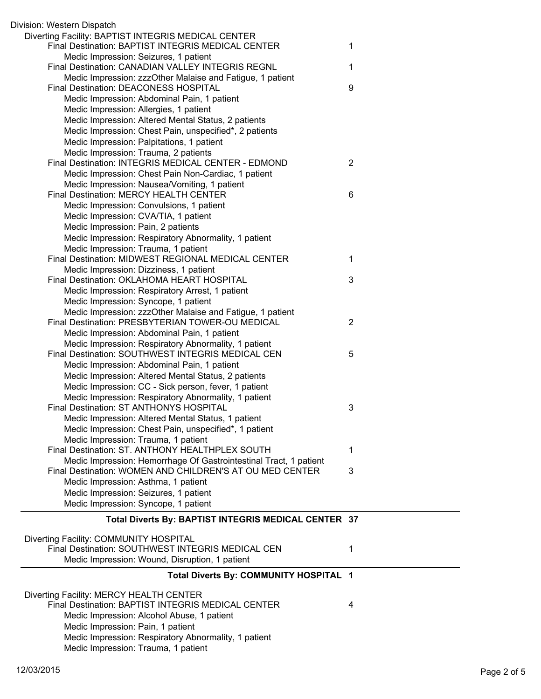| Division: Western Dispatch                                                                      |                |
|-------------------------------------------------------------------------------------------------|----------------|
| Diverting Facility: BAPTIST INTEGRIS MEDICAL CENTER                                             |                |
| Final Destination: BAPTIST INTEGRIS MEDICAL CENTER                                              | 1              |
| Medic Impression: Seizures, 1 patient                                                           |                |
| Final Destination: CANADIAN VALLEY INTEGRIS REGNL                                               | 1              |
| Medic Impression: zzzOther Malaise and Fatigue, 1 patient                                       |                |
| Final Destination: DEACONESS HOSPITAL                                                           | 9              |
| Medic Impression: Abdominal Pain, 1 patient                                                     |                |
| Medic Impression: Allergies, 1 patient                                                          |                |
| Medic Impression: Altered Mental Status, 2 patients                                             |                |
| Medic Impression: Chest Pain, unspecified*, 2 patients                                          |                |
| Medic Impression: Palpitations, 1 patient                                                       |                |
| Medic Impression: Trauma, 2 patients                                                            |                |
| Final Destination: INTEGRIS MEDICAL CENTER - EDMOND                                             | $\overline{2}$ |
| Medic Impression: Chest Pain Non-Cardiac, 1 patient                                             |                |
| Medic Impression: Nausea/Vomiting, 1 patient                                                    |                |
| Final Destination: MERCY HEALTH CENTER                                                          | 6              |
| Medic Impression: Convulsions, 1 patient                                                        |                |
| Medic Impression: CVA/TIA, 1 patient                                                            |                |
| Medic Impression: Pain, 2 patients                                                              |                |
| Medic Impression: Respiratory Abnormality, 1 patient                                            |                |
| Medic Impression: Trauma, 1 patient                                                             |                |
| Final Destination: MIDWEST REGIONAL MEDICAL CENTER                                              | 1              |
| Medic Impression: Dizziness, 1 patient                                                          |                |
| Final Destination: OKLAHOMA HEART HOSPITAL                                                      | 3              |
| Medic Impression: Respiratory Arrest, 1 patient                                                 |                |
| Medic Impression: Syncope, 1 patient                                                            |                |
| Medic Impression: zzzOther Malaise and Fatigue, 1 patient                                       |                |
| Final Destination: PRESBYTERIAN TOWER-OU MEDICAL                                                | $\overline{2}$ |
| Medic Impression: Abdominal Pain, 1 patient                                                     |                |
| Medic Impression: Respiratory Abnormality, 1 patient                                            |                |
| Final Destination: SOUTHWEST INTEGRIS MEDICAL CEN                                               | 5              |
| Medic Impression: Abdominal Pain, 1 patient                                                     |                |
| Medic Impression: Altered Mental Status, 2 patients                                             |                |
| Medic Impression: CC - Sick person, fever, 1 patient                                            |                |
| Medic Impression: Respiratory Abnormality, 1 patient<br>Final Destination: ST ANTHONYS HOSPITAL |                |
|                                                                                                 | 3              |
| Medic Impression: Altered Mental Status, 1 patient                                              |                |
| Medic Impression: Chest Pain, unspecified*, 1 patient                                           |                |
| Medic Impression: Trauma, 1 patient<br>Final Destination: ST. ANTHONY HEALTHPLEX SOUTH          |                |
| Medic Impression: Hemorrhage Of Gastrointestinal Tract, 1 patient                               | 1              |
| Final Destination: WOMEN AND CHILDREN'S AT OU MED CENTER                                        | 3              |
| Medic Impression: Asthma, 1 patient                                                             |                |
| Medic Impression: Seizures, 1 patient                                                           |                |
| Medic Impression: Syncope, 1 patient                                                            |                |
|                                                                                                 |                |
| Total Diverts By: BAPTIST INTEGRIS MEDICAL CENTER 37                                            |                |
|                                                                                                 |                |
| Diverting Facility: COMMUNITY HOSPITAL<br>Final Destination: SOUTHWEST INTEGRIS MEDICAL CEN     | 1              |
| Medic Impression: Wound, Disruption, 1 patient                                                  |                |
|                                                                                                 |                |
| Total Diverts By: COMMUNITY HOSPITAL 1                                                          |                |
| Diverting Facility: MERCY HEALTH CENTER                                                         |                |
| Final Destination: BAPTIST INTEGRIS MEDICAL CENTER                                              | 4              |
| Medic Impression: Alcohol Abuse, 1 patient                                                      |                |
| Medic Impression: Pain, 1 patient                                                               |                |
| Medic Impression: Respiratory Abnormality, 1 patient                                            |                |
| Medic Impression: Trauma, 1 patient                                                             |                |
|                                                                                                 |                |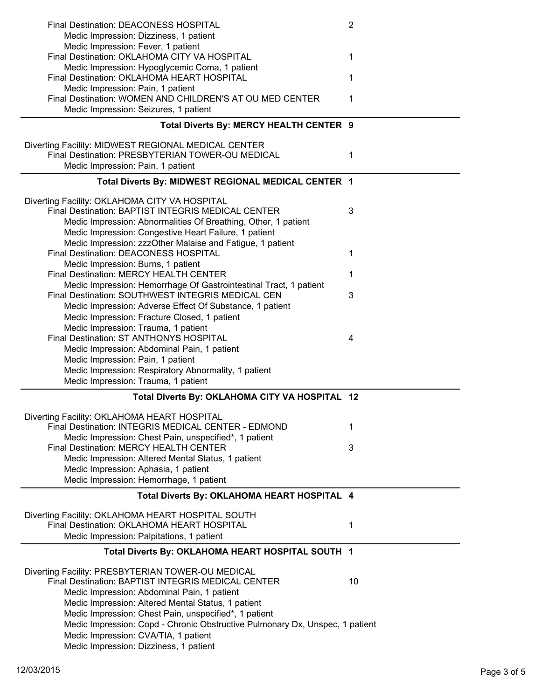| Final Destination: DEACONESS HOSPITAL                                                                                  | 2  |
|------------------------------------------------------------------------------------------------------------------------|----|
| Medic Impression: Dizziness, 1 patient<br>Medic Impression: Fever, 1 patient                                           |    |
| Final Destination: OKLAHOMA CITY VA HOSPITAL                                                                           | 1  |
| Medic Impression: Hypoglycemic Coma, 1 patient                                                                         |    |
| Final Destination: OKLAHOMA HEART HOSPITAL                                                                             | 1  |
| Medic Impression: Pain, 1 patient<br>Final Destination: WOMEN AND CHILDREN'S AT OU MED CENTER                          | 1  |
| Medic Impression: Seizures, 1 patient                                                                                  |    |
| Total Diverts By: MERCY HEALTH CENTER 9                                                                                |    |
| Diverting Facility: MIDWEST REGIONAL MEDICAL CENTER                                                                    |    |
| Final Destination: PRESBYTERIAN TOWER-OU MEDICAL                                                                       | 1  |
| Medic Impression: Pain, 1 patient                                                                                      |    |
| Total Diverts By: MIDWEST REGIONAL MEDICAL CENTER 1                                                                    |    |
| Diverting Facility: OKLAHOMA CITY VA HOSPITAL                                                                          |    |
| Final Destination: BAPTIST INTEGRIS MEDICAL CENTER                                                                     | 3  |
| Medic Impression: Abnormalities Of Breathing, Other, 1 patient                                                         |    |
| Medic Impression: Congestive Heart Failure, 1 patient                                                                  |    |
| Medic Impression: zzzOther Malaise and Fatigue, 1 patient<br>Final Destination: DEACONESS HOSPITAL                     | 1  |
| Medic Impression: Burns, 1 patient                                                                                     |    |
| Final Destination: MERCY HEALTH CENTER                                                                                 | 1  |
| Medic Impression: Hemorrhage Of Gastrointestinal Tract, 1 patient<br>Final Destination: SOUTHWEST INTEGRIS MEDICAL CEN | 3  |
| Medic Impression: Adverse Effect Of Substance, 1 patient                                                               |    |
| Medic Impression: Fracture Closed, 1 patient                                                                           |    |
| Medic Impression: Trauma, 1 patient                                                                                    |    |
| Final Destination: ST ANTHONYS HOSPITAL                                                                                | 4  |
|                                                                                                                        |    |
| Medic Impression: Abdominal Pain, 1 patient                                                                            |    |
| Medic Impression: Pain, 1 patient                                                                                      |    |
| Medic Impression: Respiratory Abnormality, 1 patient<br>Medic Impression: Trauma, 1 patient                            |    |
| Total Diverts By: OKLAHOMA CITY VA HOSPITAL 12                                                                         |    |
|                                                                                                                        |    |
| Diverting Facility: OKLAHOMA HEART HOSPITAL<br>Final Destination: INTEGRIS MEDICAL CENTER - EDMOND                     | 1  |
| Medic Impression: Chest Pain, unspecified*, 1 patient                                                                  |    |
| Final Destination: MERCY HEALTH CENTER                                                                                 | 3  |
| Medic Impression: Altered Mental Status, 1 patient                                                                     |    |
| Medic Impression: Aphasia, 1 patient<br>Medic Impression: Hemorrhage, 1 patient                                        |    |
| Total Diverts By: OKLAHOMA HEART HOSPITAL 4                                                                            |    |
|                                                                                                                        |    |
| Diverting Facility: OKLAHOMA HEART HOSPITAL SOUTH<br>Final Destination: OKLAHOMA HEART HOSPITAL                        | 1  |
| Medic Impression: Palpitations, 1 patient                                                                              |    |
| Total Diverts By: OKLAHOMA HEART HOSPITAL SOUTH 1                                                                      |    |
| Diverting Facility: PRESBYTERIAN TOWER-OU MEDICAL                                                                      |    |
| Final Destination: BAPTIST INTEGRIS MEDICAL CENTER                                                                     | 10 |
| Medic Impression: Abdominal Pain, 1 patient                                                                            |    |
| Medic Impression: Altered Mental Status, 1 patient                                                                     |    |
| Medic Impression: Chest Pain, unspecified*, 1 patient                                                                  |    |
| Medic Impression: Copd - Chronic Obstructive Pulmonary Dx, Unspec, 1 patient<br>Medic Impression: CVA/TIA, 1 patient   |    |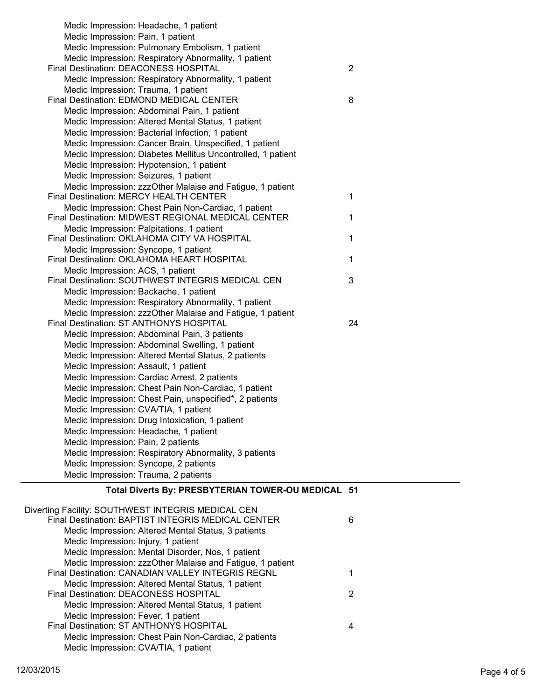| Total Diverts By: PRESBYTERIAN TOWER-OU MEDICAL 51                                            |                |
|-----------------------------------------------------------------------------------------------|----------------|
| Medic Impression: Trauma, 2 patients                                                          |                |
| Medic Impression: Syncope, 2 patients                                                         |                |
| Medic Impression: Respiratory Abnormality, 3 patients                                         |                |
| Medic Impression: Pain, 2 patients                                                            |                |
| Medic Impression: Headache, 1 patient                                                         |                |
| Medic Impression: Drug Intoxication, 1 patient                                                |                |
| Medic Impression: CVA/TIA, 1 patient                                                          |                |
| Medic Impression: Chest Pain, unspecified*, 2 patients                                        |                |
| Medic Impression: Chest Pain Non-Cardiac, 1 patient                                           |                |
| Medic Impression: Cardiac Arrest, 2 patients                                                  |                |
| Medic Impression: Assault, 1 patient                                                          |                |
| Medic Impression: Altered Mental Status, 2 patients                                           |                |
| Medic Impression: Abdominal Swelling, 1 patient                                               |                |
| Medic Impression: Abdominal Pain, 3 patients                                                  |                |
| Final Destination: ST ANTHONYS HOSPITAL                                                       | 24             |
| Medic Impression: zzzOther Malaise and Fatigue, 1 patient                                     |                |
| Medic Impression: Backache, 1 patient<br>Medic Impression: Respiratory Abnormality, 1 patient |                |
|                                                                                               |                |
| Medic Impression: ACS, 1 patient<br>Final Destination: SOUTHWEST INTEGRIS MEDICAL CEN         | 3              |
| Final Destination: OKLAHOMA HEART HOSPITAL                                                    | $\mathbf{1}$   |
| Medic Impression: Syncope, 1 patient                                                          |                |
| Final Destination: OKLAHOMA CITY VA HOSPITAL                                                  | 1              |
| Medic Impression: Palpitations, 1 patient                                                     |                |
| Final Destination: MIDWEST REGIONAL MEDICAL CENTER                                            | 1              |
| Medic Impression: Chest Pain Non-Cardiac, 1 patient                                           |                |
| Final Destination: MERCY HEALTH CENTER                                                        | 1              |
| Medic Impression: zzzOther Malaise and Fatigue, 1 patient                                     |                |
| Medic Impression: Seizures, 1 patient                                                         |                |
| Medic Impression: Hypotension, 1 patient                                                      |                |
| Medic Impression: Diabetes Mellitus Uncontrolled, 1 patient                                   |                |
| Medic Impression: Cancer Brain, Unspecified, 1 patient                                        |                |
| Medic Impression: Bacterial Infection, 1 patient                                              |                |
| Medic Impression: Altered Mental Status, 1 patient                                            |                |
| Medic Impression: Abdominal Pain, 1 patient                                                   |                |
| Final Destination: EDMOND MEDICAL CENTER                                                      | 8              |
| Medic Impression: Trauma, 1 patient                                                           |                |
| Medic Impression: Respiratory Abnormality, 1 patient                                          |                |
| Final Destination: DEACONESS HOSPITAL                                                         | $\overline{2}$ |
| Medic Impression: Respiratory Abnormality, 1 patient                                          |                |
| Medic Impression: Pulmonary Embolism, 1 patient                                               |                |
| Medic Impression: Pain, 1 patient                                                             |                |
| Medic Impression: Headache, 1 patient                                                         |                |
|                                                                                               |                |

| Diverting Facility: SOUTHWEST INTEGRIS MEDICAL CEN        |   |
|-----------------------------------------------------------|---|
| Final Destination: BAPTIST INTEGRIS MEDICAL CENTER        | 6 |
| Medic Impression: Altered Mental Status, 3 patients       |   |
| Medic Impression: Injury, 1 patient                       |   |
| Medic Impression: Mental Disorder, Nos, 1 patient         |   |
| Medic Impression: zzzOther Malaise and Fatigue, 1 patient |   |
| Final Destination: CANADIAN VALLEY INTEGRIS REGNL         |   |
| Medic Impression: Altered Mental Status, 1 patient        |   |
| Final Destination: DEACONESS HOSPITAL                     | 2 |
| Medic Impression: Altered Mental Status, 1 patient        |   |
| Medic Impression: Fever, 1 patient                        |   |
| Final Destination: ST ANTHONYS HOSPITAL                   |   |
| Medic Impression: Chest Pain Non-Cardiac, 2 patients      |   |
| Medic Impression: CVA/TIA, 1 patient                      |   |
|                                                           |   |